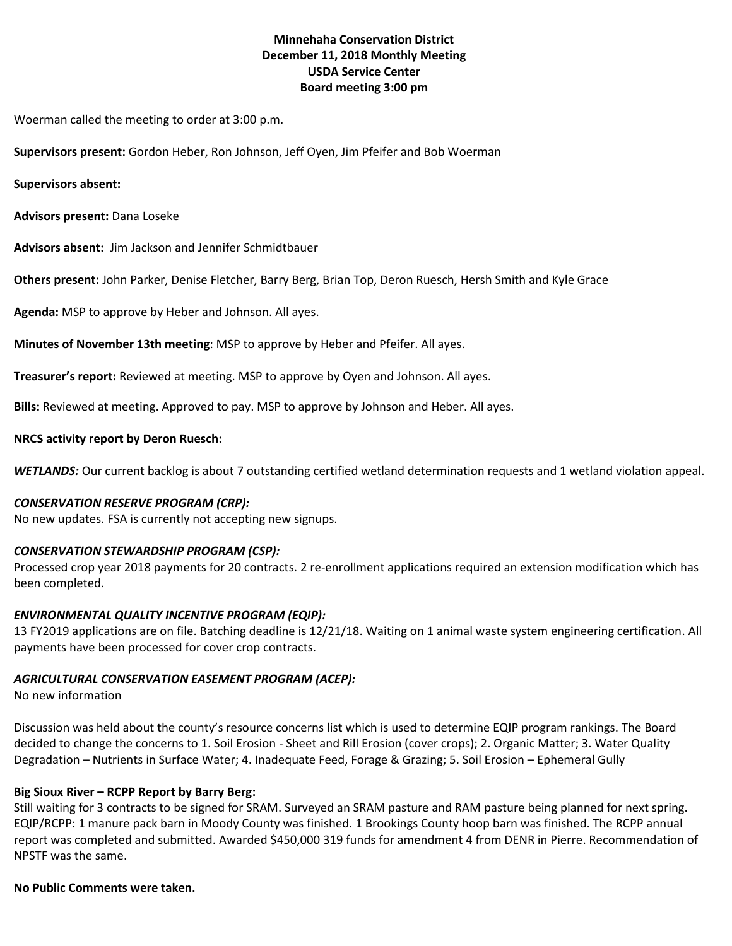## **Minnehaha Conservation District December 11, 2018 Monthly Meeting USDA Service Center Board meeting 3:00 pm**

Woerman called the meeting to order at 3:00 p.m.

**Supervisors present:** Gordon Heber, Ron Johnson, Jeff Oyen, Jim Pfeifer and Bob Woerman

## **Supervisors absent:**

**Advisors present:** Dana Loseke

**Advisors absent:** Jim Jackson and Jennifer Schmidtbauer

**Others present:** John Parker, Denise Fletcher, Barry Berg, Brian Top, Deron Ruesch, Hersh Smith and Kyle Grace

**Agenda:** MSP to approve by Heber and Johnson. All ayes.

**Minutes of November 13th meeting**: MSP to approve by Heber and Pfeifer. All ayes.

**Treasurer's report:** Reviewed at meeting. MSP to approve by Oyen and Johnson. All ayes.

**Bills:** Reviewed at meeting. Approved to pay. MSP to approve by Johnson and Heber. All ayes.

## **NRCS activity report by Deron Ruesch:**

*WETLANDS:* Our current backlog is about 7 outstanding certified wetland determination requests and 1 wetland violation appeal.

### *CONSERVATION RESERVE PROGRAM (CRP):*

No new updates. FSA is currently not accepting new signups.

# *CONSERVATION STEWARDSHIP PROGRAM (CSP):*

Processed crop year 2018 payments for 20 contracts. 2 re-enrollment applications required an extension modification which has been completed.

# *ENVIRONMENTAL QUALITY INCENTIVE PROGRAM (EQIP):*

13 FY2019 applications are on file. Batching deadline is 12/21/18. Waiting on 1 animal waste system engineering certification. All payments have been processed for cover crop contracts.

# *AGRICULTURAL CONSERVATION EASEMENT PROGRAM (ACEP):*

No new information

Discussion was held about the county's resource concerns list which is used to determine EQIP program rankings. The Board decided to change the concerns to 1. Soil Erosion - Sheet and Rill Erosion (cover crops); 2. Organic Matter; 3. Water Quality Degradation – Nutrients in Surface Water; 4. Inadequate Feed, Forage & Grazing; 5. Soil Erosion – Ephemeral Gully

# **Big Sioux River – RCPP Report by Barry Berg:**

Still waiting for 3 contracts to be signed for SRAM. Surveyed an SRAM pasture and RAM pasture being planned for next spring. EQIP/RCPP: 1 manure pack barn in Moody County was finished. 1 Brookings County hoop barn was finished. The RCPP annual report was completed and submitted. Awarded \$450,000 319 funds for amendment 4 from DENR in Pierre. Recommendation of NPSTF was the same.

## **No Public Comments were taken.**